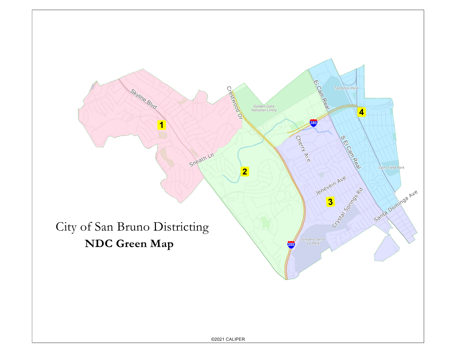